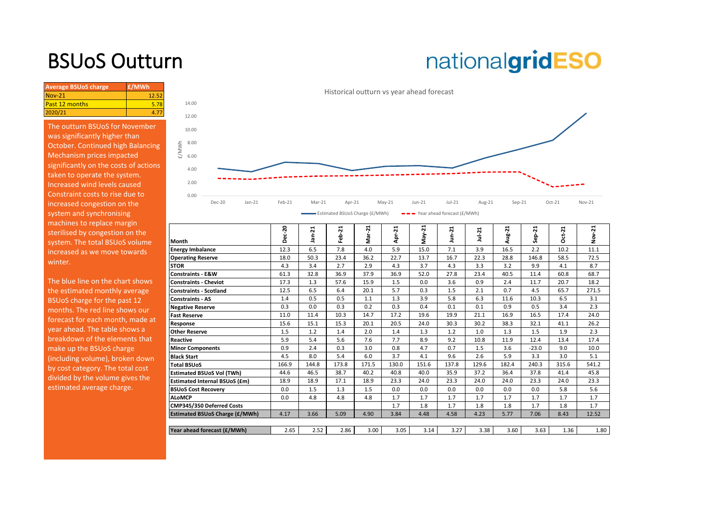## BSUoS Outturn

## nationalgridESO

| 42.5 | <b>Average BSUoS charge</b> | £/MWh |
|------|-----------------------------|-------|
|      | $Nov-21$                    |       |
|      | <b>Past 12 months</b>       |       |
|      | 2020/21                     |       |

The outturn BSUoS for November was significantly higher than October. Continued high Balancing Mechanism prices impacted significantly on the costs of actions taken to operate the system. Increased wind levels caused Constraint costs to rise due to increased congestion on the system and synchronising machines to replace margin sterilised by congestion on the system. The total BSUoS volume increased as we move towards winter.



| macrimed to replace marging<br>sterilised by congestion on the<br>system. The total BSUoS volume | Month                                 | ន<br>ပ္ဗ်<br>⌒ | ⊣<br>$\mathbf{\tilde{N}}$<br>$\sigma$ | -21<br>욞<br>۰ĭ | ř<br>ទី | Apr-21 | May-21 | ដុ<br>Ê | $Jul-21$ | ⊣<br>ှု့ | 21<br>غ<br>و | $ct-21$<br>Õ | ដ<br>ž |
|--------------------------------------------------------------------------------------------------|---------------------------------------|----------------|---------------------------------------|----------------|---------|--------|--------|---------|----------|----------|--------------|--------------|--------|
| increased as we move towards                                                                     | <b>Energy Imbalance</b>               | 12.3           | 6.5                                   | 7.8            | 4.0     | 5.9    | 15.0   | 7.1     | 3.9      | 16.5     | 2.2          | 10.2         | 11.1   |
|                                                                                                  | <b>Operating Reserve</b>              | 18.0           | 50.3                                  | 23.4           | 36.2    | 22.7   | 13.7   | 16.7    | 22.3     | 28.8     | 146.8        | 58.5         | 72.5   |
| winter.                                                                                          | <b>STOR</b>                           | 4.3            | 3.4                                   | 2.7            | 2.9     | 4.3    | 3.7    | 4.3     | 3.3      | 3.2      | 9.9          | 4.1          | 8.7    |
|                                                                                                  | <b>Constraints - E&amp;W</b>          | 61.3           | 32.8                                  | 36.9           | 37.9    | 36.9   | 52.0   | 27.8    | 23.4     | 40.5     | 11.4         | 60.8         | 68.7   |
| The blue line on the chart shows                                                                 | <b>Constraints - Cheviot</b>          | 17.3           | 1.3                                   | 57.6           | 15.9    | 1.5    | 0.0    | 3.6     | 0.9      | 2.4      | 11.7         | 20.7         | 18.2   |
| the estimated monthly average                                                                    | <b>Constraints - Scotland</b>         | 12.5           | 6.5                                   | 6.4            | 20.1    | 5.7    | 0.3    | 1.5     | 2.1      | 0.7      | 4.5          | 65.7         | 271.5  |
| BSUoS charge for the past 12                                                                     | <b>Constraints - AS</b>               | 1.4            | 0.5                                   | 0.5            | 1.1     | 1.3    | 3.9    | 5.8     | 6.3      | 11.6     | 10.3         | 6.5          | 3.1    |
| months. The red line shows our                                                                   | <b>Negative Reserve</b>               | 0.3            | 0.0                                   | 0.3            | 0.2     | 0.3    | 0.4    | 0.1     | 0.1      | 0.9      | 0.5          | 3.4          | 2.3    |
| forecast for each month, made at                                                                 | <b>Fast Reserve</b>                   | 11.0           | 11.4                                  | 10.3           | 14.7    | 17.2   | 19.6   | 19.9    | 21.1     | 16.9     | 16.5         | 17.4         | 24.0   |
|                                                                                                  | Response                              | 15.6           | 15.1                                  | 15.3           | 20.1    | 20.5   | 24.0   | 30.3    | 30.2     | 38.3     | 32.1         | 41.1         | 26.2   |
| year ahead. The table shows a                                                                    | <b>Other Reserve</b>                  | 1.5            | 1.2                                   | 1.4            | 2.0     | 1.4    | 1.3    | 1.2     | 1.0      | 1.3      | 1.5          | 1.9          | 2.3    |
| breakdown of the elements that                                                                   | Reactive                              | 5.9            | 5.4                                   | 5.6            | 7.6     | 7.7    | 8.9    | 9.2     | 10.8     | 11.9     | 12.4         | 13.4         | 17.4   |
| make up the BSUoS charge                                                                         | <b>Minor Components</b>               | 0.9            | 2.4                                   | 0.3            | 3.0     | 0.8    | 4.7    | 0.7     | 1.5      | 3.6      | $-23.0$      | 9.0          | 10.0   |
| (including volume), broken down                                                                  | <b>Black Start</b>                    | 4.5            | 8.0                                   | 5.4            | 6.0     | 3.7    | 4.1    | 9.6     | 2.6      | 5.9      | 3.3          | 3.0          | 5.1    |
| by cost category. The total cost                                                                 | <b>Total BSUoS</b>                    | 166.9          | 144.8                                 | 173.8          | 171.5   | 130.0  | 151.6  | 137.8   | 129.6    | 182.4    | 240.3        | 315.6        | 541.2  |
| divided by the volume gives the                                                                  | <b>Estimated BSUoS Vol (TWh)</b>      | 44.6           | 46.5                                  | 38.7           | 40.2    | 40.8   | 40.0   | 35.9    | 37.2     | 36.4     | 37.8         | 41.4         | 45.8   |
|                                                                                                  | <b>Estimated Internal BSUoS (£m)</b>  | 18.9           | 18.9                                  | 17.1           | 18.9    | 23.3   | 24.0   | 23.3    | 24.0     | 24.0     | 23.3         | 24.0         | 23.3   |
| estimated average charge.                                                                        | <b>BSUoS Cost Recovery</b>            | 0.0            | 1.5                                   | 1.3            | 1.5     | 0.0    | 0.0    | 0.0     | 0.0      | 0.0      | 0.0          | 5.8          | 5.6    |
|                                                                                                  | <b>ALoMCP</b>                         | 0.0            | 4.8                                   | 4.8            | 4.8     | 1.7    | 1.7    | 1.7     | 1.7      | 1.7      | 1.7          | 1.7          | 1.7    |
|                                                                                                  | CMP345/350 Deferred Costs             |                |                                       |                |         | 1.7    | 1.8    | 1.7     | 1.8      | 1.8      | 1.7          | 1.8          | 1.7    |
|                                                                                                  | <b>Estimated BSUoS Charge (£/MWh)</b> | 4.17           | 3.66                                  | 5.09           | 4.90    | 3.84   | 4.48   | 4.58    | 4.23     | 5.77     | 7.06         | 8.43         | 12.52  |
|                                                                                                  |                                       |                |                                       |                |         |        |        |         |          |          |              |              |        |
|                                                                                                  | Year ahead forecast (£/MWh)           | 2.65           | 2.52                                  | 2.86           | 3.00    | 3.05   | 3.14   | 3.27    | 3.38     | 3.60     | 3.63         | 1.36         | 1.80   |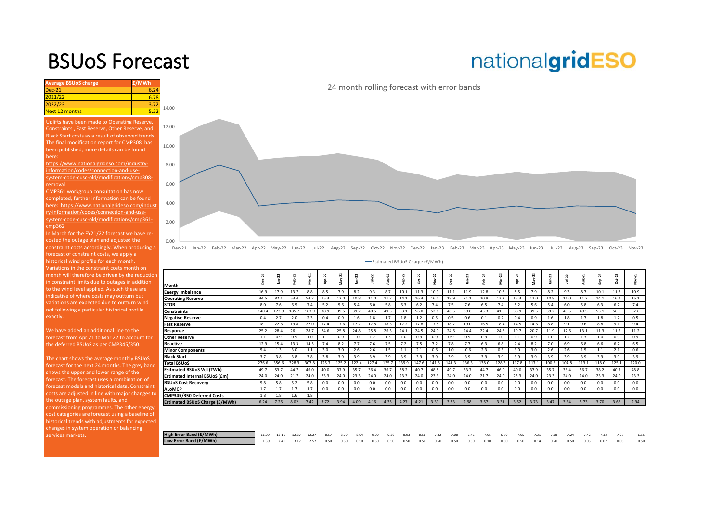### BSUoS Forecast

# nationalgridESO

| <b>Average BSUoS charge</b> | £/MWh |       |
|-----------------------------|-------|-------|
| $Dec-21$                    | 6.24  |       |
| 2021/22                     | 6.78  |       |
| 2022/23                     | 3.72  | 14.00 |
| Next 12 months              | 5.22  |       |

Uplifts have been made to Operating Reserve, Constraints , Fast Reserve, Other Reserve, and Black Start costs as a result of observed trends. The final modification report for CMP308 has been published, more details can be found here:

https://www.nationalgrideso.com/industryinformation/codes/connection-and-usesystem-code-cusc-old/modifications/cmp308 removal

CMP361 workgroup consultation has now completed, further information can be found here: https://www.nationalgrideso.com/indust ry-information/codes/connection-and-usesystem-code-cusc-old/modifications/cmp361 cmp362

0.00

2.00

4.00

6.00

8.00

10.00

12.00

In March for the FY21/22 forecast we have recosted the outage plan and adjusted the constraint costs accordingly. When producing a forecast of constraint costs, we apply a historical wind profile for each month. Variations in the constraint costs month on [month will therefore be driven by the reduction](https://www.nationalgrideso.com/charging/balancing-services-use-system-bsuos-charges)  in constraint limits due to outages in addition to the wind level applied. As such these are indicative of where costs may outturn but variations are expected due to outturn wind not following a particular historical profile exactly.

We have added an additional line to the forecast from Apr 21 to Mar 22 to account for the deferred BSUoS as per CMP345/350.

The chart shows the average monthly BSUoS forecast for the next 24 months. The grey band shows the upper and lower range of the forecast. The forecast uses a combination of forecast models and historical data. Constraint costs are adjusted in line with major changes to the outage plan, system faults, and commissioning programmes. The other energy cost categories are forecast using a baseline of historical trends with adjustments for expected changes in system operation or balancing services markets.



Dec-21 Jan-22 Feb-22 Mar-22 Apr-22 May-22 Jun-22 Jul-22 Aug-22 Sep-22 Oct-22 Nov-22 Dec-22 Jan-23 Feb-23 Mar-23 Apr-23 May-23 Jun-23 Jul-23 Aug-23 Sep-23 Oct-23 Nov-23

Estimated BSUoS Charge (£/MWh)

|                                       | $Dec-21$ | $Jan-22$ | 22<br>흠 | $ar-22$ | Apr-22 | $May-22$ | $J$ un- $22$ | $101 - 22$ | Aug-22 | $Sep-22$ | $Oct-22$ | Nov-22 | $Dec-22$ | $Jan-23$ | 23<br>Feb- | $Mar-23$ | Apr-23 | $av-23$ | $un-23$ | Jul-23 | Aug-23 | Sep-23 | Oct-23 | 23<br>š |
|---------------------------------------|----------|----------|---------|---------|--------|----------|--------------|------------|--------|----------|----------|--------|----------|----------|------------|----------|--------|---------|---------|--------|--------|--------|--------|---------|
| Month                                 |          |          |         | s       |        |          |              |            |        |          |          |        |          |          |            |          |        | s.      |         |        |        |        |        |         |
| <b>Energy Imbalance</b>               | 16.9     | 17.9     | 13.7    | 8.8     | 8.5    | 7.9      | 8.2          | 9.3        | 8.7    | 10.1     | 11.3     | 10.9   | 11.1     | 11.9     | 12.8       | 10.8     | 8.5    | 7.9     | 8.2     | 9.3    | 8.7    | 10.1   | 11.3   | 10.9    |
| <b>Operating Reserve</b>              | 44.5     | 82.1     | 53.4    | 54.2    | 15.3   | 12.0     | 10.8         | 11.0       | 11.2   | 14.1     | 16.4     | 16.1   | 18.9     | 21.1     | 20.9       | 13.2     | 15.3   | 12.0    | 10.8    | 11.0   | 11.2   | 14.1   | 16.4   | 16.1    |
| STOR                                  | 8.0      | 7.6      | 6.5     | 7.4     | 5.2    | 5.6      | 5.4          | 6.0        | 5.8    | 6.3      | 6.2      | 7.4    | 7.5      | 7.6      | 6.5        | 7.4      | 5.2    | 5.6     | 5.4     | 6.0    | 5.8    | 6.3    | 6.2    | 7.4     |
| <b>Constraints</b>                    | 140.4    | 173.9    | 185.7   | 163.9   | 38.9   | 39.5     | 39.2         | 40.5       | 49.5   | 53.1     | 56.0     | 52.6   | 46.5     | 39.8     | 45.3       | 41.6     | 38.9   | 39.5    | 39.2    | 40.5   | 49.5   | 53.1   | 56.0   | 52.6    |
| <b>Negative Reserve</b>               | 0.4      | 2.7      | 2.0     | 2.3     | 0.4    | 0.9      | 1.6          | 1.8        | 1.7    | 1.8      | 1.2      | 0.5    | 0.5      | 0.6      | 0.1        | 0.2      | 0.4    | 0.9     | 1.6     | 1.8    | 1.7    | 1.8    | 1.2    | 0.5     |
| <b>Fast Reserve</b>                   | 18.1     | 22.6     | 19.8    | 22.0    | 17.4   | 17.6     | 17.2         | 17.8       | 18.3   | 17.2     | 17.8     | 17.8   | 18.7     | 19.0     | 16.5       | 18.4     | 14.5   | 14.6    | 8.8     | 9.1    | 9.6    | 8.8    | 9.1    | 9.4     |
| Response                              | 25.2     | 28.4     | 26.1    | 28.7    | 24.6   | 25.8     | 24.8         | 25.8       | 26.3   | 24.1     | 24.5     | 24.0   | 24.6     | 24.4     | 22.4       | 24.6     | 19.7   | 20.7    | 11.9    | 12.6   | 13.1   | 11.3   | 11.2   | 11.2    |
| <b>Other Reserve</b>                  | 1.1      | 0.9      | 0.9     | 1.0     | 1.1    | 0.9      | 1.0          | 1.2        | 1.3    | 1.0      | 0.9      | 0.9    | 0.9      | 0.9      | 0.9        | 1.0      | 1.1    | 0.9     | 1.0     | 1.2    | 1.3    | 1.0    | 0.9    | 0.9     |
| Reactive                              | 12.9     | 15.4     | 13.3    | 14.5    | 7.4    | 8.2      | 7.7          | 7.6        | 7.5    | 7.2      | 7.5      | 7.2    | 7.8      | 7.7      | 6.3        | 6.8      | 7.4    | 8.2     | 7.0     | 6.9    | 6.8    | 6.6    | 6.7    | 6.5     |
| <b>Minor Components</b>               | 5.4      | 1.3      | 3.0     | 1.1     | 3.0    | 3.0      | 2.6          | 2.6        | 1.5    | 1.1      | 2.1      | 0.6    | $1.0$    | $-0.6$   | 2.3        | 0.3      | 3.0    | 3.0     | 2.6     | 2.6    | 1.5    | 1.1    | 2.1    | 0.6     |
| <b>Black Start</b>                    | 3.7      | 3.8      | 3.8     | 3.8     | 3.8    | 3.9      | 3.9          | 3.9        | 3.9    | 3.9      | 3.9      | 3.9    | 3.9      | 3.9      | 3.9        | 3.9      | 3.9    | 3.9     | 3.9     | 3.9    | 3.9    | 3.9    | 3.9    | 3.9     |
| <b>Total BSUoS</b>                    | 276.6    | 356.6    | 328.3   | 307.8   | 125.7  | 125.2    | 122.4        | 127.4      | 135.7  | 139.9    | 147.6    | 141.8  | 141.3    | 136.3    | 138.0      | 128.3    | 117.8  | 117.1   | 100.6   | 104.8  | 113.1  | 118.0  | 125.1  | 120.0   |
| <b>Esitmated BSUoS Vol (TWh)</b>      | 49.7     | 53.7     | 44.7    | 46.0    | 40.0   | 37.9     | 35.7         | 36.4       | 36.7   | 38.2     | 40.7     | 48.8   | 49.7     | 53.7     | 44.7       | 46.0     | 40.0   | 37.9    | 35.7    | 36.4   | 36.7   | 38.2   | 40.7   | 48.8    |
| <b>Estimated Internal BSUoS (£m)</b>  | 24.0     | 24.0     | 21.7    | 24.0    | 23.3   | 24.0     | 23.3         | 24.0       | 24.0   | 23.3     | 24.0     | 23.3   | 24.0     | 24.0     | 21.7       | 24.0     | 23.3   | 24.0    | 23.3    | 24.0   | 24.0   | 23.3   | 24.0   | 23.3    |
| <b>BSUoS Cost Recovery</b>            | 5.8      | 5.8      | 5.2     | 5.8     | 0.0    | 0.0      | 0.0          | 0.0        | 0.0    | 0.0      | 0.0      | 0.0    | 0.0      | 0.0      | 0.0        | 0.0      | 0.0    | 0.0     | 0.0     | 0.0    | 0.0    | 0.0    | 0.0    | 0.0     |
| <b>ALoMCP</b>                         | 1.7      | 1.7      | 1.7     | 1.7     | 0.0    | 0.0      | 0.0          | 0.0        | 0.0    | 0.0      | 0.0      | 0.0    | 0.0      | 0.0      | 0.0        | 0.0      | 0.0    | 0.0     | 0.0     | 0.0    | 0.0    | 0.0    | 0.0    | 0.0     |
| CMP345/350 Deferred Costs             | 1.8      | 1.8      | 1.6     | 1.8     |        |          |              |            |        |          |          |        |          |          |            |          |        |         |         |        |        |        |        |         |
| <b>Estimated BSUoS Charge (£/MWh)</b> | 6.24     | 7.26     | 8.02    | 7.42    | 3.72   | 3.94     | 4.09         | 4.16       | 4.35   | 4.27     | 4.21     | 3.39   | 3.33     | 2.98     | 3.57       | 3.31     | 3.52   | 3.73    | 3.47    | 3.54   | 3.73   | 3.70   | 3.66   | 2.94    |
|                                       |          |          |         |         |        |          |              |            |        |          |          |        |          |          |            |          |        |         |         |        |        |        |        |         |
|                                       |          |          |         |         |        |          |              |            |        |          |          |        |          |          |            |          |        |         |         |        |        |        |        |         |

**High Error Band (£/MWh)** 11.09 12.11 12.87 12.27 8.57 8.79 8.94 9.00 9.26 8.93 8.56 7.42 7.08 6.46 7.05 6.79 7.05 7.31 7.08 7.24 7.42 7.33 7.27 6.55 **Low Error Band (£/MWh)** 1.39 2.41 3.17 2.57 0.50 0.50 0.50 0.50 0.50 0.50 0.50 0.50 0.50 0.50 0.10 0.50 0.50 0.14 0.50 0.50 0.05 0.07 0.05 0.50